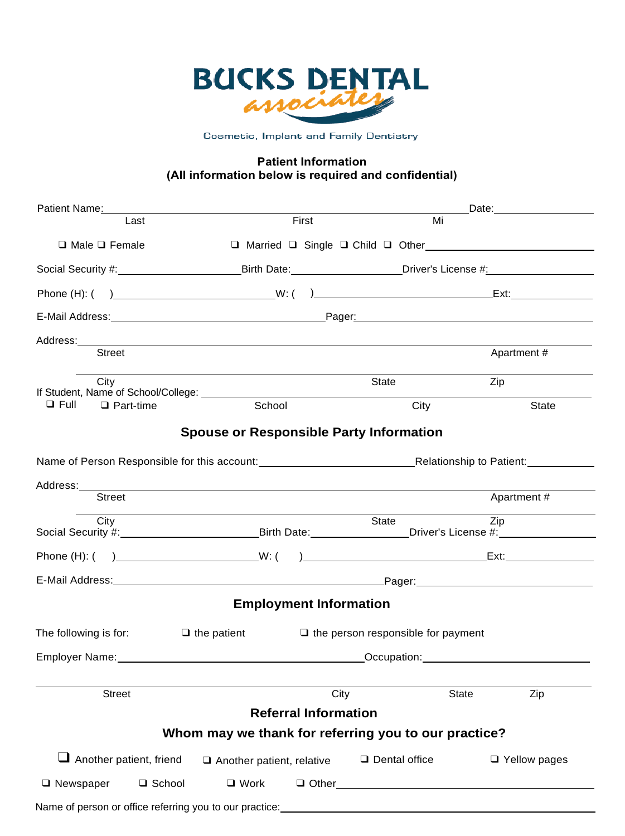

Cosmetic, Implant and Family Dentistry

#### **Patient Information (All information below is required and confidential)**

| Patient Name: Name: Name and Name and Name and Name and Name and Name and Name and Name and Name and Name and N                                                                                                                |                                                      |                                           | Date: _________________ |
|--------------------------------------------------------------------------------------------------------------------------------------------------------------------------------------------------------------------------------|------------------------------------------------------|-------------------------------------------|-------------------------|
| Last                                                                                                                                                                                                                           | First                                                | Mi                                        |                         |
| $\Box$ Male $\Box$ Female                                                                                                                                                                                                      |                                                      |                                           |                         |
| Social Security #:______________________________Birth Date:_____________________Driver's License #:______________                                                                                                              |                                                      |                                           |                         |
|                                                                                                                                                                                                                                |                                                      |                                           |                         |
|                                                                                                                                                                                                                                |                                                      |                                           |                         |
|                                                                                                                                                                                                                                |                                                      |                                           |                         |
| <b>Street</b>                                                                                                                                                                                                                  |                                                      |                                           | Apartment#              |
| City                                                                                                                                                                                                                           |                                                      | State                                     | Zip                     |
| $\Box$ Full<br>$\Box$ Part-time                                                                                                                                                                                                | School                                               | City                                      | State                   |
|                                                                                                                                                                                                                                | <b>Spouse or Responsible Party Information</b>       |                                           |                         |
|                                                                                                                                                                                                                                |                                                      |                                           |                         |
| Address:_________                                                                                                                                                                                                              |                                                      |                                           |                         |
| <b>Street</b>                                                                                                                                                                                                                  |                                                      |                                           | Apartment#              |
| City<br>Social Security #:_________________________________Birth Date:__________________Driver's License #:_____________                                                                                                       |                                                      | State                                     | Zip                     |
|                                                                                                                                                                                                                                |                                                      |                                           |                         |
|                                                                                                                                                                                                                                |                                                      |                                           |                         |
|                                                                                                                                                                                                                                | <b>Employment Information</b>                        |                                           |                         |
| The following is for:<br>$\Box$ the patient                                                                                                                                                                                    |                                                      | $\Box$ the person responsible for payment |                         |
| Employer Name: Campbell and Contract Contract Contract Contract Contract Contract Contract Contract Contract Contract Contract Contract Contract Contract Contract Contract Contract Contract Contract Contract Contract Contr |                                                      |                                           |                         |
|                                                                                                                                                                                                                                |                                                      |                                           |                         |
| <b>Street</b>                                                                                                                                                                                                                  | City<br><b>Referral Information</b>                  | <b>State</b>                              | Zip                     |
|                                                                                                                                                                                                                                | Whom may we thank for referring you to our practice? |                                           |                         |
|                                                                                                                                                                                                                                |                                                      |                                           |                         |
| $\Box$ Another patient, friend                                                                                                                                                                                                 | $\Box$ Another patient, relative                     | $\square$ Dental office                   | $\Box$ Yellow pages     |
| $\Box$ Newspaper<br>□ School                                                                                                                                                                                                   | $\Box$ Work                                          |                                           |                         |
| Name of person or office referring you to our practice: ________________________                                                                                                                                               |                                                      |                                           |                         |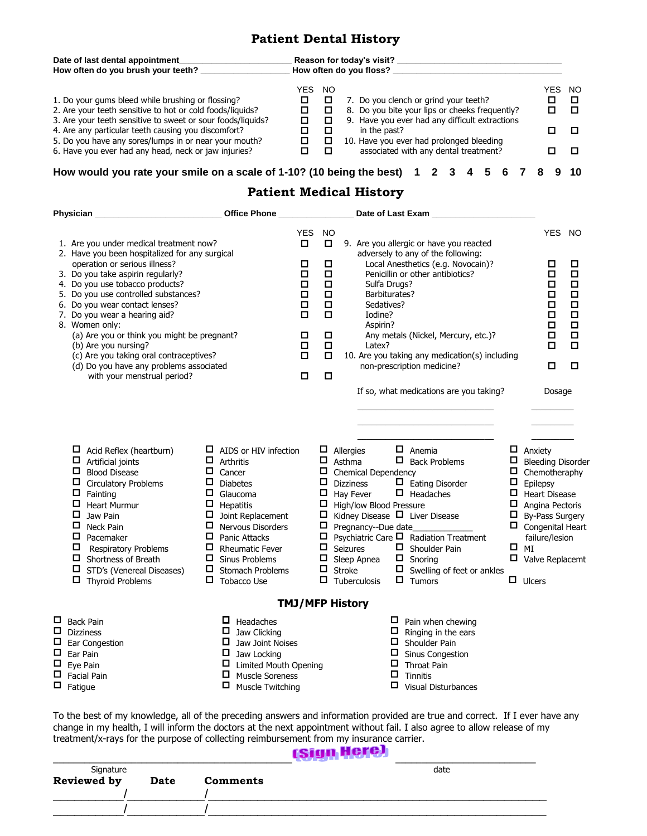#### **Patient Dental History**

| Date of last dental appointment<br>How often do you brush your teeth?                                                                                                                                                                                                                                                                                 |      |          | Reason for today's visit?<br>How often do you floss?                                                                                                                                                                                                  |                          |
|-------------------------------------------------------------------------------------------------------------------------------------------------------------------------------------------------------------------------------------------------------------------------------------------------------------------------------------------------------|------|----------|-------------------------------------------------------------------------------------------------------------------------------------------------------------------------------------------------------------------------------------------------------|--------------------------|
| 1. Do your gums bleed while brushing or flossing?<br>2. Are your teeth sensitive to hot or cold foods/liquids?<br>3. Are your teeth sensitive to sweet or sour foods/liquids?<br>4. Are any particular teeth causing you discomfort?<br>5. Do you have any sores/lumps in or near your mouth?<br>6. Have you ever had any head, neck or jaw injuries? | YES. | NO.<br>□ | YES<br>7. Do you clench or grind your teeth?<br>8. Do you bite your lips or cheeks frequently?<br>9. Have you ever had any difficult extractions<br>in the past?<br>10. Have you ever had prolonged bleeding<br>associated with any dental treatment? | - NO<br>O<br>O<br>п<br>п |
| How would you rate your smile on a scale of 1-10? (10 being the best) 1                                                                                                                                                                                                                                                                               |      |          | 6                                                                                                                                                                                                                                                     | 10                       |

#### **Patient Medical History**

|                            | Physician                                                                                                                                                                                                                                                                                                                                                                                                                                                                                                                   | <b>Office Phone</b>                                                                                                                                                                                                                                                                                               |                                                                             |                                                                                                               |                                                                                                                                | Date of Last Exam _                                                                                                                                                                                                                                                                                                                                                                                  |                                           |                                                                                                                                                                                                                                            |        |                                                                                                     |
|----------------------------|-----------------------------------------------------------------------------------------------------------------------------------------------------------------------------------------------------------------------------------------------------------------------------------------------------------------------------------------------------------------------------------------------------------------------------------------------------------------------------------------------------------------------------|-------------------------------------------------------------------------------------------------------------------------------------------------------------------------------------------------------------------------------------------------------------------------------------------------------------------|-----------------------------------------------------------------------------|---------------------------------------------------------------------------------------------------------------|--------------------------------------------------------------------------------------------------------------------------------|------------------------------------------------------------------------------------------------------------------------------------------------------------------------------------------------------------------------------------------------------------------------------------------------------------------------------------------------------------------------------------------------------|-------------------------------------------|--------------------------------------------------------------------------------------------------------------------------------------------------------------------------------------------------------------------------------------------|--------|-----------------------------------------------------------------------------------------------------|
|                            | 1. Are you under medical treatment now?<br>2. Have you been hospitalized for any surgical<br>operation or serious illness?<br>3. Do you take aspirin regularly?<br>4. Do you use tobacco products?<br>5. Do you use controlled substances?<br>6. Do you wear contact lenses?<br>7. Do you wear a hearing aid?<br>8. Women only:<br>(a) Are you or think you might be pregnant?<br>(b) Are you nursing?<br>(c) Are you taking oral contraceptives?<br>(d) Do you have any problems associated<br>with your menstrual period? |                                                                                                                                                                                                                                                                                                                   | <b>YES</b><br>□<br>□<br>$\Box$<br>$\Box$<br>□<br>□<br>п<br>□<br>о<br>П<br>□ | <b>NO</b><br>$\Box$<br>□<br>$\Box$<br>$\Box$<br>□<br>$\Box$<br>$\Box$<br>$\Box$<br>$\Box$<br>$\Box$<br>$\Box$ |                                                                                                                                | 9. Are you allergic or have you reacted<br>adversely to any of the following:<br>Local Anesthetics (e.g. Novocain)?<br>Penicillin or other antibiotics?<br>Sulfa Drugs?<br>Barbiturates?<br>Sedatives?<br>Iodine?<br>Aspirin?<br>Any metals (Nickel, Mercury, etc.)?<br>Latex?<br>10. Are you taking any medication(s) including<br>non-prescription medicine?                                       |                                           | <b>YES</b><br>□<br>$\Box$<br>$\Box$<br>$\Box$<br>□<br>$\Box$<br>$\Box$<br>$\Box$<br>$\Box$<br>$\Box$                                                                                                                                       |        | <b>NO</b><br>О<br>$\Box$<br>$\Box$<br>$\Box$<br>$\Box$<br>$\Box$<br>$\Box$<br>$\Box$<br>$\Box$<br>□ |
|                            | $\Box$ Acid Reflex (heartburn)<br>0<br>Artificial joints<br>$\Box$<br><b>Blood Disease</b><br>0<br><b>Circulatory Problems</b><br>0<br>Fainting<br><b>Heart Murmur</b><br>0<br>Jaw Pain<br>0<br>Neck Pain<br>$\Box$<br>Pacemaker<br>0<br><b>Respiratory Problems</b><br>$\Box$<br>Shortness of Breath<br>$\Box$ STD's (Venereal Diseases)<br>0<br><b>Thyroid Problems</b>                                                                                                                                                   | $\Box$ AIDS or HIV infection<br>□<br>Arthritis<br>□<br>Cancer<br>□<br><b>Diabetes</b><br>□<br>Glaucoma<br>П<br>Hepatitis<br>$\Box$<br>Joint Replacement<br>◻<br><b>Nervous Disorders</b><br>□<br>Panic Attacks<br>□<br><b>Rheumatic Fever</b><br>□<br>Sinus Problems<br>□<br>Stomach Problems<br>□<br>Tobacco Use |                                                                             | $\Box$<br>$\Box$<br>$\Box$<br>0<br>0                                                                          | $\Box$ Allergies<br>Asthma<br><b>Dizziness</b><br>Hay Fever<br>$\Box$ Seizures<br>Sleep Apnea<br>$\Box$ Stroke<br>Tuberculosis | If so, what medications are you taking?<br>$\Box$ Anemia<br>$\Box$ Back Problems<br>Chemical Dependency<br>$\Box$ Eating Disorder<br>$\Box$ Headaches<br>High/low Blood Pressure<br>Kidney Disease $\Box$ Liver Disease<br>Pregnancy--Due date<br>$\Box$ Psychiatric Care $\Box$ Radiation Treatment<br>$\Box$ Shoulder Pain<br>$\Box$ Snoring<br>$\Box$ Swelling of feet or ankles<br>$\Box$ Tumors | 0<br>$\Box$<br>0<br>0<br>0<br>$\Box$<br>О | $\Box$ Anxiety<br><b>Bleeding Disorder</b><br>Chemotheraphy<br>Epilepsy<br><b>Heart Disease</b><br>Angina Pectoris<br><b>By-Pass Surgery</b><br>$\Box$ Congenital Heart<br>failure/lesion<br>MI<br>$\Box$ Valve Replacemt<br>$\Box$ Ulcers | Dosage |                                                                                                     |
| □<br>□<br>□<br>Д<br>$\Box$ | <b>Back Pain</b><br><b>Dizziness</b><br>Ear Congestion<br>Ear Pain<br>Eye Pain                                                                                                                                                                                                                                                                                                                                                                                                                                              | $\Box$<br>Headaches<br>□<br>Jaw Clicking<br>0<br>Jaw Joint Noises<br>$\Box$ Jaw Locking<br>Limited Mouth Opening<br>□                                                                                                                                                                                             |                                                                             |                                                                                                               | <b>TMJ/MFP History</b>                                                                                                         | $\Box$ Pain when chewing<br>0<br>Ringing in the ears<br>0<br>Shoulder Pain<br>□<br>Sinus Congestion<br>□<br>Throat Pain                                                                                                                                                                                                                                                                              |                                           |                                                                                                                                                                                                                                            |        |                                                                                                     |
| □<br>П                     | <b>Facial Pain</b><br>Fatigue                                                                                                                                                                                                                                                                                                                                                                                                                                                                                               | 0<br><b>Muscle Soreness</b><br>◻<br>Muscle Twitching                                                                                                                                                                                                                                                              |                                                                             |                                                                                                               |                                                                                                                                | □<br>Tinnitis<br>□<br><b>Visual Disturbances</b>                                                                                                                                                                                                                                                                                                                                                     |                                           |                                                                                                                                                                                                                                            |        |                                                                                                     |

To the best of my knowledge, all of the preceding answers and information provided are true and correct. If I ever have any change in my health, I will inform the doctors at the next appointment without fail. I also agree to allow release of my treatment/x-rays for the purpose of collecting reimbursement from my insurance carrier.

|             |      |                 | чурн погод |
|-------------|------|-----------------|------------|
| Signature   |      |                 | date       |
| Reviewed by | Date | <b>Comments</b> |            |
|             |      |                 |            |
|             |      |                 |            |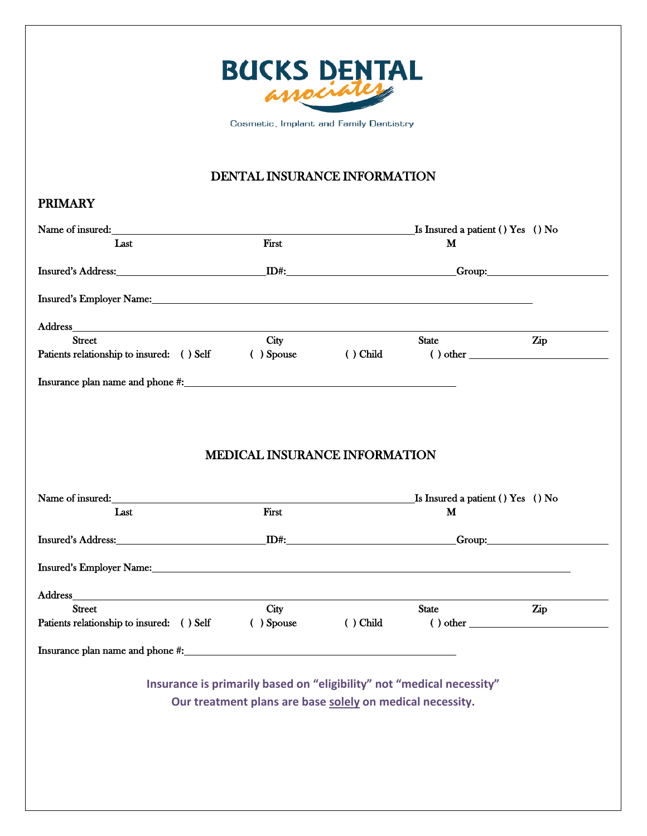

Cosmetic, Implant and Family Dentistry

## DENTAL INSURANCE INFORMATION

#### PRIMARY

| $\mathbf M$<br>Insured's Employer Name: Name: 2008 and 2008 and 2008 and 2008 and 2008 and 2008 and 2008 and 2008 and 2008 and 2008 and 2008 and 2008 and 2008 and 2008 and 2008 and 2008 and 2008 and 2008 and 2008 and 2008 and 2008 and 20<br>State<br>Zip<br>$()$ Child<br>$( ) other _______$ |
|----------------------------------------------------------------------------------------------------------------------------------------------------------------------------------------------------------------------------------------------------------------------------------------------------|
|                                                                                                                                                                                                                                                                                                    |
|                                                                                                                                                                                                                                                                                                    |
|                                                                                                                                                                                                                                                                                                    |
|                                                                                                                                                                                                                                                                                                    |
|                                                                                                                                                                                                                                                                                                    |
|                                                                                                                                                                                                                                                                                                    |
|                                                                                                                                                                                                                                                                                                    |
|                                                                                                                                                                                                                                                                                                    |
|                                                                                                                                                                                                                                                                                                    |
| <b>MEDICAL INSURANCE INFORMATION</b>                                                                                                                                                                                                                                                               |
| Name of insured: <u>Same School and School and School and School and School and School and School and School and School and School and School and School and School and School and School and School and School and School and S</u>                                                               |
| M                                                                                                                                                                                                                                                                                                  |
|                                                                                                                                                                                                                                                                                                    |
|                                                                                                                                                                                                                                                                                                    |
| <u> 1980 - Johann Stoff, deutscher Stoffen und der Stoffen und der Stoffen und der Stoffen und der Stoffen und d</u>                                                                                                                                                                               |
| State<br>Zip                                                                                                                                                                                                                                                                                       |
| ( ) Child<br>$\left( \begin{array}{c} 1 \end{array} \right)$ other                                                                                                                                                                                                                                 |
|                                                                                                                                                                                                                                                                                                    |
|                                                                                                                                                                                                                                                                                                    |
| Insurance is primarily based on "eligibility" not "medical necessity"                                                                                                                                                                                                                              |
| Our treatment plans are base solely on medical necessity.                                                                                                                                                                                                                                          |
|                                                                                                                                                                                                                                                                                                    |
|                                                                                                                                                                                                                                                                                                    |
|                                                                                                                                                                                                                                                                                                    |
|                                                                                                                                                                                                                                                                                                    |
|                                                                                                                                                                                                                                                                                                    |
|                                                                                                                                                                                                                                                                                                    |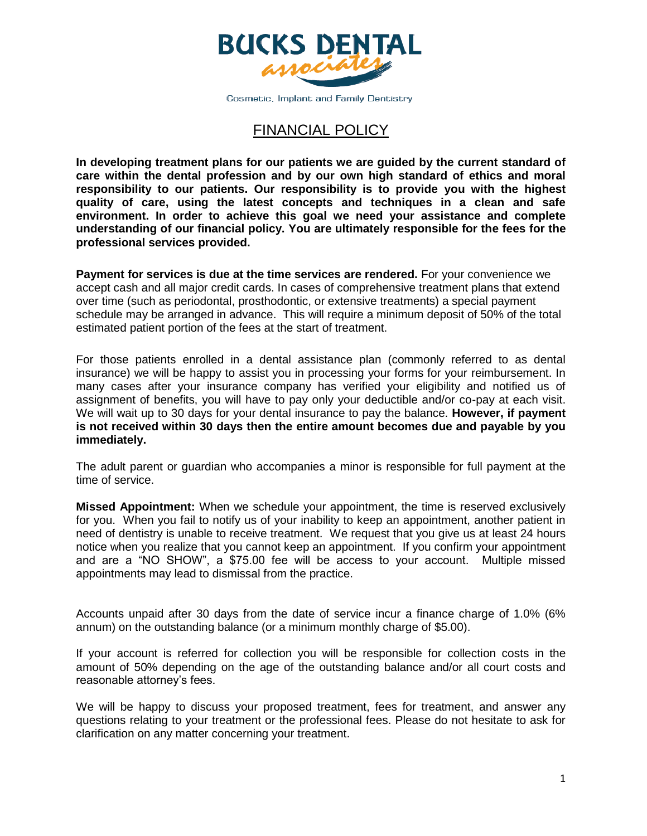

Cosmetic, Implant and Family Dentistry

## FINANCIAL POLICY

**In developing treatment plans for our patients we are guided by the current standard of care within the dental profession and by our own high standard of ethics and moral responsibility to our patients. Our responsibility is to provide you with the highest quality of care, using the latest concepts and techniques in a clean and safe environment. In order to achieve this goal we need your assistance and complete understanding of our financial policy. You are ultimately responsible for the fees for the professional services provided.** 

**Payment for services is due at the time services are rendered.** For your convenience we accept cash and all major credit cards. In cases of comprehensive treatment plans that extend over time (such as periodontal, prosthodontic, or extensive treatments) a special payment schedule may be arranged in advance. This will require a minimum deposit of 50% of the total estimated patient portion of the fees at the start of treatment.

For those patients enrolled in a dental assistance plan (commonly referred to as dental insurance) we will be happy to assist you in processing your forms for your reimbursement. In many cases after your insurance company has verified your eligibility and notified us of assignment of benefits, you will have to pay only your deductible and/or co-pay at each visit. We will wait up to 30 days for your dental insurance to pay the balance. **However, if payment is not received within 30 days then the entire amount becomes due and payable by you immediately.**

The adult parent or guardian who accompanies a minor is responsible for full payment at the time of service.

**Missed Appointment:** When we schedule your appointment, the time is reserved exclusively for you. When you fail to notify us of your inability to keep an appointment, another patient in need of dentistry is unable to receive treatment. We request that you give us at least 24 hours notice when you realize that you cannot keep an appointment. If you confirm your appointment and are a "NO SHOW", a \$75.00 fee will be access to your account. Multiple missed appointments may lead to dismissal from the practice.

Accounts unpaid after 30 days from the date of service incur a finance charge of 1.0% (6% annum) on the outstanding balance (or a minimum monthly charge of \$5.00).

If your account is referred for collection you will be responsible for collection costs in the amount of 50% depending on the age of the outstanding balance and/or all court costs and reasonable attorney's fees.

We will be happy to discuss your proposed treatment, fees for treatment, and answer any questions relating to your treatment or the professional fees. Please do not hesitate to ask for clarification on any matter concerning your treatment.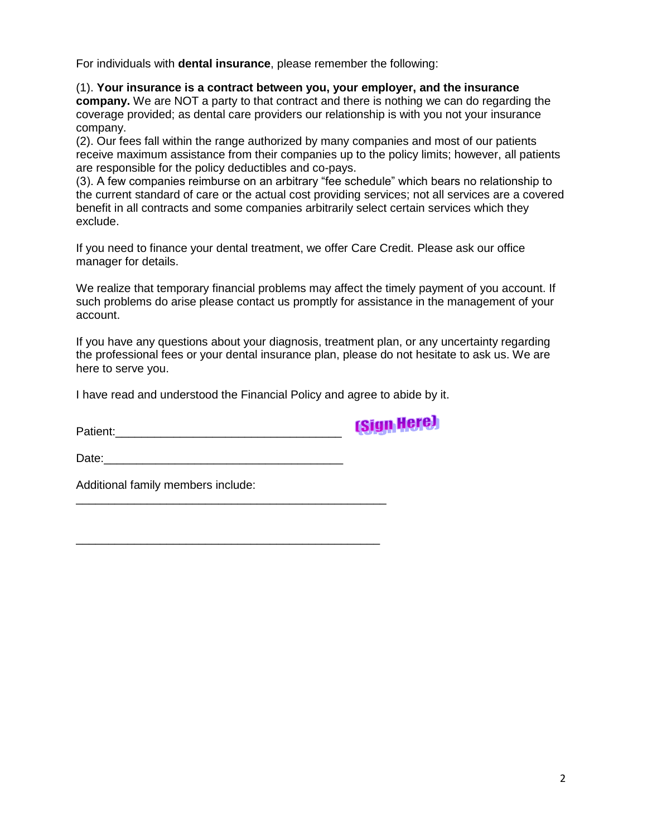For individuals with **dental insurance**, please remember the following:

(1). **Your insurance is a contract between you, your employer, and the insurance company.** We are NOT a party to that contract and there is nothing we can do regarding the coverage provided; as dental care providers our relationship is with you not your insurance company.

(2). Our fees fall within the range authorized by many companies and most of our patients receive maximum assistance from their companies up to the policy limits; however, all patients are responsible for the policy deductibles and co-pays.

(3). A few companies reimburse on an arbitrary "fee schedule" which bears no relationship to the current standard of care or the actual cost providing services; not all services are a covered benefit in all contracts and some companies arbitrarily select certain services which they exclude.

If you need to finance your dental treatment, we offer Care Credit. Please ask our office manager for details.

We realize that temporary financial problems may affect the timely payment of you account. If such problems do arise please contact us promptly for assistance in the management of your account.

If you have any questions about your diagnosis, treatment plan, or any uncertainty regarding the professional fees or your dental insurance plan, please do not hesitate to ask us. We are here to serve you.

I have read and understood the Financial Policy and agree to abide by it.

Patient:\_\_\_\_\_\_\_\_\_\_\_\_\_\_\_\_\_\_\_\_\_\_\_\_\_\_\_\_\_\_\_\_\_\_\_

**(Sign Here)** 

Date:\_\_\_\_\_\_\_\_\_\_\_\_\_\_\_\_\_\_\_\_\_\_\_\_\_\_\_\_\_\_\_\_\_\_\_\_\_

\_\_\_\_\_\_\_\_\_\_\_\_\_\_\_\_\_\_\_\_\_\_\_\_\_\_\_\_\_\_\_\_\_\_\_\_\_\_\_\_\_\_\_\_\_\_\_\_

\_\_\_\_\_\_\_\_\_\_\_\_\_\_\_\_\_\_\_\_\_\_\_\_\_\_\_\_\_\_\_\_\_\_\_\_\_\_\_\_\_\_\_\_\_\_\_

Additional family members include: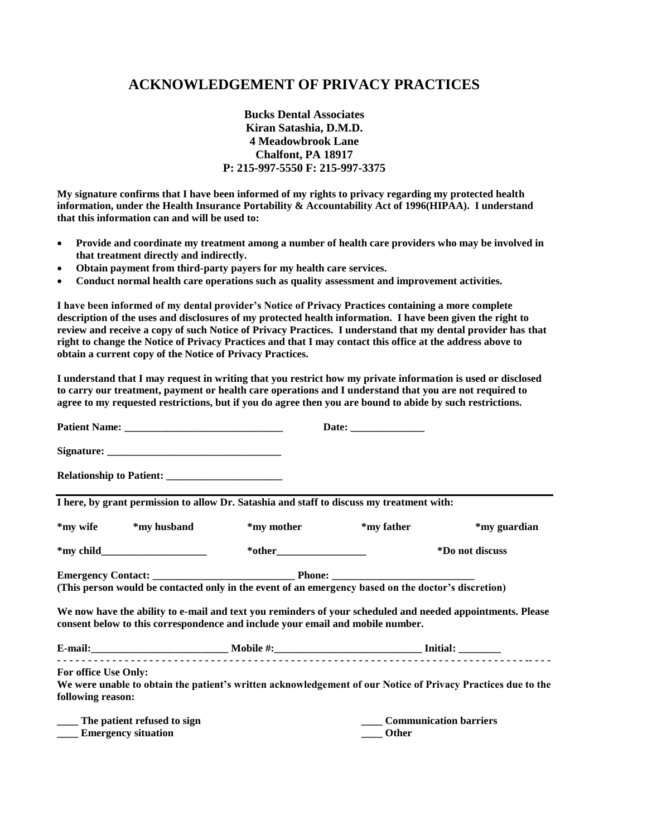### **ACKNOWLEDGEMENT OF PRIVACY PRACTICES**

**Bucks Dental Associates Kiran Satashia, D.M.D. 4 Meadowbrook Lane Chalfont, PA 18917 P: 215-997-5550 F: 215-997-3375** 

**My signature confirms that I have been informed of my rights to privacy regarding my protected health information, under the Health Insurance Portability & Accountability Act of 1996(HIPAA). I understand that this information can and will be used to:** 

- **Provide and coordinate my treatment among a number of health care providers who may be involved in that treatment directly and indirectly.**
- **Obtain payment from third-party payers for my health care services.**
- **Conduct normal health care operations such as quality assessment and improvement activities.**

**I have been informed of my dental provider's Notice of Privacy Practices containing a more complete description of the uses and disclosures of my protected health information. I have been given the right to review and receive a copy of such Notice of Privacy Practices. I understand that my dental provider has that right to change the Notice of Privacy Practices and that I may contact this office at the address above to obtain a current copy of the Notice of Privacy Practices.** 

**I understand that I may request in writing that you restrict how my private information is used or disclosed to carry our treatment, payment or health care operations and I understand that you are not required to agree to my requested restrictions, but if you do agree then you are bound to abide by such restrictions.** 

|                                  | I here, by grant permission to allow Dr. Satashia and staff to discuss my treatment with:                                                                                                    |                             |                 |  |  |  |
|----------------------------------|----------------------------------------------------------------------------------------------------------------------------------------------------------------------------------------------|-----------------------------|-----------------|--|--|--|
| *my wife *my husband             | *my mother                                                                                                                                                                                   | *my father                  | *my guardian    |  |  |  |
| $*$ my child                     |                                                                                                                                                                                              |                             | *Do not discuss |  |  |  |
|                                  |                                                                                                                                                                                              |                             |                 |  |  |  |
|                                  | (This person would be contacted only in the event of an emergency based on the doctor's discretion)                                                                                          |                             |                 |  |  |  |
|                                  | We now have the ability to e-mail and text you reminders of your scheduled and needed appointments. Please<br>consent below to this correspondence and include your email and mobile number. |                             |                 |  |  |  |
|                                  |                                                                                                                                                                                              |                             |                 |  |  |  |
| <b>For office Use Only:</b>      |                                                                                                                                                                                              |                             |                 |  |  |  |
| following reason:                | We were unable to obtain the patient's written acknowledgement of our Notice of Privacy Practices due to the                                                                                 |                             |                 |  |  |  |
| ____ The patient refused to sign |                                                                                                                                                                                              | ____ Communication barriers |                 |  |  |  |

**Emergency situation Other**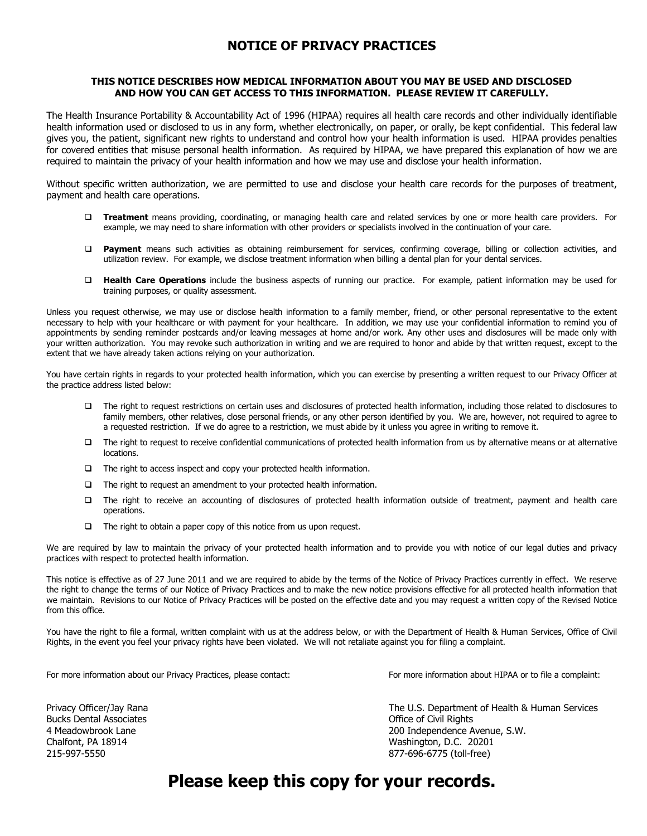#### **NOTICE OF PRIVACY PRACTICES**

#### **THIS NOTICE DESCRIBES HOW MEDICAL INFORMATION ABOUT YOU MAY BE USED AND DISCLOSED AND HOW YOU CAN GET ACCESS TO THIS INFORMATION. PLEASE REVIEW IT CAREFULLY.**

The Health Insurance Portability & Accountability Act of 1996 (HIPAA) requires all health care records and other individually identifiable health information used or disclosed to us in any form, whether electronically, on paper, or orally, be kept confidential. This federal law gives you, the patient, significant new rights to understand and control how your health information is used. HIPAA provides penalties for covered entities that misuse personal health information. As required by HIPAA, we have prepared this explanation of how we are required to maintain the privacy of your health information and how we may use and disclose your health information.

Without specific written authorization, we are permitted to use and disclose your health care records for the purposes of treatment, payment and health care operations.

- **Treatment** means providing, coordinating, or managing health care and related services by one or more health care providers. For example, we may need to share information with other providers or specialists involved in the continuation of your care.
- **Payment** means such activities as obtaining reimbursement for services, confirming coverage, billing or collection activities, and utilization review. For example, we disclose treatment information when billing a dental plan for your dental services.
- **Health Care Operations** include the business aspects of running our practice. For example, patient information may be used for training purposes, or quality assessment.

Unless you request otherwise, we may use or disclose health information to a family member, friend, or other personal representative to the extent necessary to help with your healthcare or with payment for your healthcare. In addition, we may use your confidential information to remind you of appointments by sending reminder postcards and/or leaving messages at home and/or work. Any other uses and disclosures will be made only with your written authorization. You may revoke such authorization in writing and we are required to honor and abide by that written request, except to the extent that we have already taken actions relying on your authorization.

You have certain rights in regards to your protected health information, which you can exercise by presenting a written request to our Privacy Officer at the practice address listed below:

- The right to request restrictions on certain uses and disclosures of protected health information, including those related to disclosures to family members, other relatives, close personal friends, or any other person identified by you. We are, however, not required to agree to a requested restriction. If we do agree to a restriction, we must abide by it unless you agree in writing to remove it.
- $\Box$  The right to request to receive confidential communications of protected health information from us by alternative means or at alternative locations.
- $\Box$  The right to access inspect and copy your protected health information.
- $\Box$  The right to request an amendment to your protected health information.
- The right to receive an accounting of disclosures of protected health information outside of treatment, payment and health care operations.
- $\Box$  The right to obtain a paper copy of this notice from us upon request.

We are required by law to maintain the privacy of your protected health information and to provide you with notice of our legal duties and privacy practices with respect to protected health information.

This notice is effective as of 27 June 2011 and we are required to abide by the terms of the Notice of Privacy Practices currently in effect. We reserve the right to change the terms of our Notice of Privacy Practices and to make the new notice provisions effective for all protected health information that we maintain. Revisions to our Notice of Privacy Practices will be posted on the effective date and you may request a written copy of the Revised Notice from this office.

You have the right to file a formal, written complaint with us at the address below, or with the Department of Health & Human Services, Office of Civil Rights, in the event you feel your privacy rights have been violated. We will not retaliate against you for filing a complaint.

For more information about our Privacy Practices, please contact: For more information about HIPAA or to file a complaint:

Bucks Dental Associates **Dental Associates Contact Contact Contact Contact Contact Contact Contact Contact Contact Contact Contact Contact Contact Contact Contact Contact Contact Contact Contact Contact Contact Contact C** 

Privacy Officer/Jay Rana The U.S. Department of Health & Human Services 4 Meadowbrook Lane 200 Independence Avenue, S.W. Chalfont, PA 18914 Washington, D.C. 20201 215-997-5550 877-696-6775 (toll-free)

# **Please keep this copy for your records.**